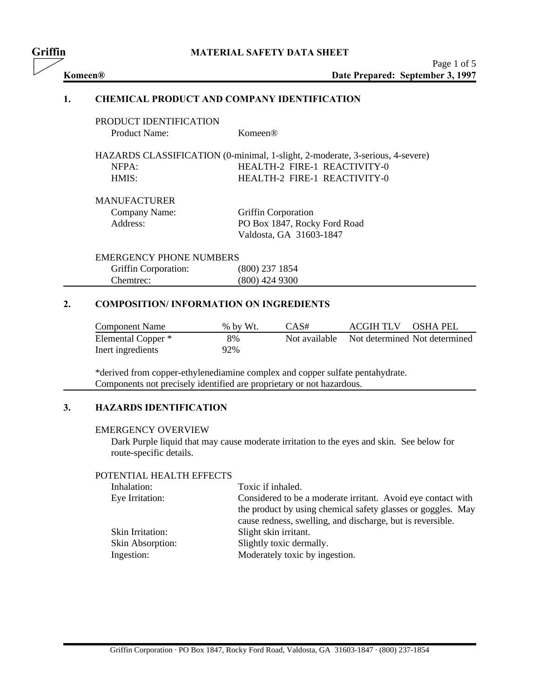| Griffin |                                                     |                                                                               |                     | <b>MATERIAL SAFETY DATA SHEET</b> |                                                 |
|---------|-----------------------------------------------------|-------------------------------------------------------------------------------|---------------------|-----------------------------------|-------------------------------------------------|
|         | Komeen®                                             |                                                                               |                     |                                   | Page 1 of 5<br>Date Prepared: September 3, 1997 |
|         | 1.                                                  | <b>CHEMICAL PRODUCT AND COMPANY IDENTIFICATION</b>                            |                     |                                   |                                                 |
|         |                                                     | PRODUCT IDENTIFICATION                                                        |                     |                                   |                                                 |
|         |                                                     | <b>Product Name:</b>                                                          | Komeen®             |                                   |                                                 |
|         |                                                     | HAZARDS CLASSIFICATION (0-minimal, 1-slight, 2-moderate, 3-serious, 4-severe) |                     |                                   |                                                 |
|         |                                                     | NFPA:                                                                         |                     | HEALTH-2 FIRE-1 REACTIVITY-0      |                                                 |
|         |                                                     | HMIS:                                                                         |                     | HEALTH-2 FIRE-1 REACTIVITY-0      |                                                 |
|         |                                                     | <b>MANUFACTURER</b>                                                           |                     |                                   |                                                 |
|         |                                                     | Company Name:                                                                 | Griffin Corporation |                                   |                                                 |
|         |                                                     | Address:                                                                      |                     | PO Box 1847, Rocky Ford Road      |                                                 |
|         |                                                     |                                                                               |                     | Valdosta, GA 31603-1847           |                                                 |
|         |                                                     | <b>EMERGENCY PHONE NUMBERS</b>                                                |                     |                                   |                                                 |
|         |                                                     | Griffin Corporation:                                                          | (800) 237 1854      |                                   |                                                 |
|         |                                                     | Chemtrec:                                                                     | (800) 424 9300      |                                   |                                                 |
|         | 2.<br><b>COMPOSITION/INFORMATION ON INGREDIENTS</b> |                                                                               |                     |                                   |                                                 |
|         |                                                     | <b>Component Name</b>                                                         | % by Wt.            | CAS#                              | <b>ACGIH TLV</b><br><b>OSHA PEL</b>             |
|         |                                                     | Elemental Copper *                                                            | 8%                  | Not available                     | Not determined Not determined                   |
|         |                                                     | Inert ingredients                                                             | 92%                 |                                   |                                                 |
|         |                                                     |                                                                               |                     |                                   |                                                 |

\*derived from copper-ethylenediamine complex and copper sulfate pentahydrate. Components not precisely identified are proprietary or not hazardous.

# **3. HAZARDS IDENTIFICATION**

### EMERGENCY OVERVIEW

Dark Purple liquid that may cause moderate irritation to the eyes and skin. See below for route-specific details.

## POTENTIAL HEALTH EFFECTS

| Inhalation:      | Toxic if inhaled.                                            |
|------------------|--------------------------------------------------------------|
| Eye Irritation:  | Considered to be a moderate irritant. Avoid eye contact with |
|                  | the product by using chemical safety glasses or goggles. May |
|                  | cause redness, swelling, and discharge, but is reversible.   |
| Skin Irritation: | Slight skin irritant.                                        |
| Skin Absorption: | Slightly toxic dermally.                                     |
| Ingestion:       | Moderately toxic by ingestion.                               |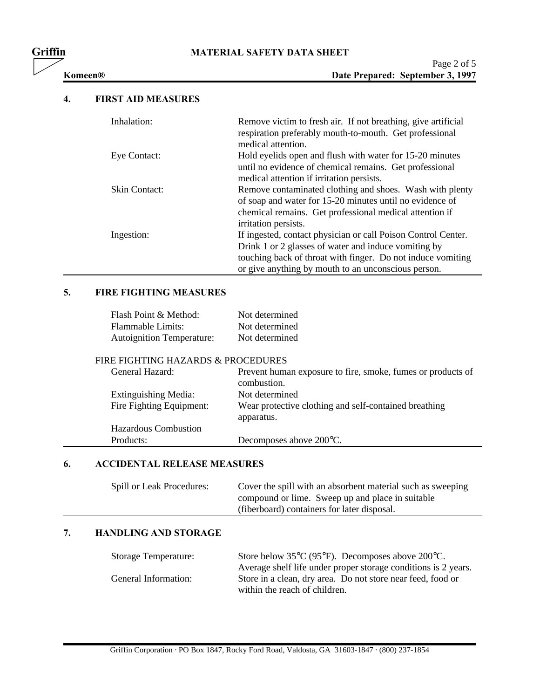# **Griffin MATERIAL SAFETY DATA SHEET**

## **4. FIRST AID MEASURES**

| Inhalation:          | Remove victim to fresh air. If not breathing, give artificial<br>respiration preferably mouth-to-mouth. Get professional<br>medical attention.                                                                                              |
|----------------------|---------------------------------------------------------------------------------------------------------------------------------------------------------------------------------------------------------------------------------------------|
| Eye Contact:         | Hold eyelids open and flush with water for 15-20 minutes<br>until no evidence of chemical remains. Get professional<br>medical attention if irritation persists.                                                                            |
| <b>Skin Contact:</b> | Remove contaminated clothing and shoes. Wash with plenty<br>of soap and water for 15-20 minutes until no evidence of<br>chemical remains. Get professional medical attention if<br>irritation persists.                                     |
| Ingestion:           | If ingested, contact physician or call Poison Control Center.<br>Drink 1 or 2 glasses of water and induce vomiting by<br>touching back of throat with finger. Do not induce vomiting<br>or give anything by mouth to an unconscious person. |

# **5. FIRE FIGHTING MEASURES**

| Flash Point & Method:            | Not determined |
|----------------------------------|----------------|
| Flammable Limits:                | Not determined |
| <b>Autoignition Temperature:</b> | Not determined |

### FIRE FIGHTING HAZARDS & PROCEDURES

| General Hazard:             | Prevent human exposure to fire, smoke, fumes or products of<br>combustion. |
|-----------------------------|----------------------------------------------------------------------------|
| Extinguishing Media:        | Not determined                                                             |
| Fire Fighting Equipment:    | Wear protective clothing and self-contained breathing<br>apparatus.        |
| <b>Hazardous Combustion</b> |                                                                            |
| Products:                   | Decomposes above 200 °C.                                                   |

## **6. ACCIDENTAL RELEASE MEASURES**

| Spill or Leak Procedures: | Cover the spill with an absorbent material such as sweeping |
|---------------------------|-------------------------------------------------------------|
|                           | compound or lime. Sweep up and place in suitable            |
|                           | (fiberboard) containers for later disposal.                 |

# **7. HANDLING AND STORAGE**

| <b>Storage Temperature:</b> | Store below $35^{\circ}C$ (95 $^{\circ}F$ ). Decomposes above 200 $^{\circ}C$ . |
|-----------------------------|---------------------------------------------------------------------------------|
|                             | Average shelf life under proper storage conditions is 2 years.                  |
| General Information:        | Store in a clean, dry area. Do not store near feed, food or                     |
|                             | within the reach of children.                                                   |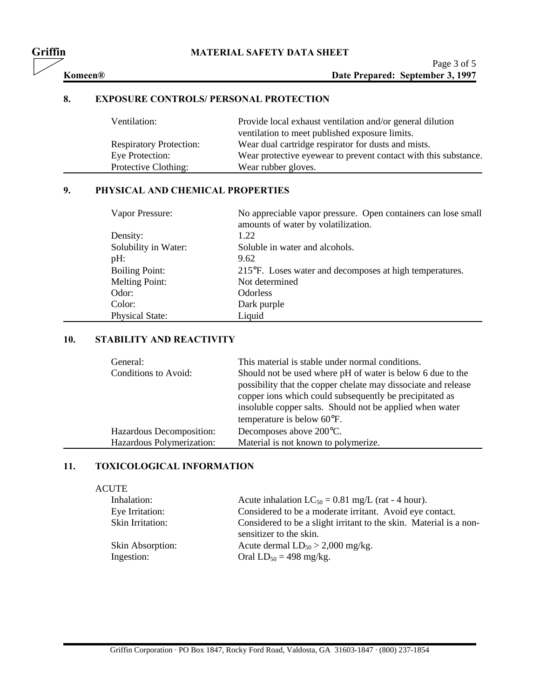# **Griffin MATERIAL SAFETY DATA SHEET**

# **8. EXPOSURE CONTROLS/ PERSONAL PROTECTION**

| Ventilation:                   | Provide local exhaust ventilation and/or general dilution       |
|--------------------------------|-----------------------------------------------------------------|
|                                | ventilation to meet published exposure limits.                  |
| <b>Respiratory Protection:</b> | Wear dual cartridge respirator for dusts and mists.             |
| Eye Protection:                | Wear protective eyewear to prevent contact with this substance. |
| Protective Clothing:           | Wear rubber gloves.                                             |

# **9. PHYSICAL AND CHEMICAL PROPERTIES**

| Vapor Pressure:        | No appreciable vapor pressure. Open containers can lose small<br>amounts of water by volatilization. |
|------------------------|------------------------------------------------------------------------------------------------------|
| Density:               | 1.22                                                                                                 |
| Solubility in Water:   | Soluble in water and alcohols.                                                                       |
| $pH$ :                 | 9.62                                                                                                 |
| <b>Boiling Point:</b>  | 215°F. Loses water and decomposes at high temperatures.                                              |
| <b>Melting Point:</b>  | Not determined                                                                                       |
| Odor:                  | <b>Odorless</b>                                                                                      |
| Color:                 | Dark purple                                                                                          |
| <b>Physical State:</b> | Liquid                                                                                               |

# **10. STABILITY AND REACTIVITY**

| General:<br>Conditions to Avoid: | This material is stable under normal conditions.<br>Should not be used where pH of water is below 6 due to the<br>possibility that the copper chelate may dissociate and release<br>copper ions which could subsequently be precipitated as<br>insoluble copper salts. Should not be applied when water<br>temperature is below 60°F. |
|----------------------------------|---------------------------------------------------------------------------------------------------------------------------------------------------------------------------------------------------------------------------------------------------------------------------------------------------------------------------------------|
| Hazardous Decomposition:         | Decomposes above 200°C.                                                                                                                                                                                                                                                                                                               |
| Hazardous Polymerization:        | Material is not known to polymerize.                                                                                                                                                                                                                                                                                                  |

## **11. TOXICOLOGICAL INFORMATION**

#### ACUTE

| Inhalation:      | Acute inhalation $LC_{50} = 0.81$ mg/L (rat - 4 hour).                                        |
|------------------|-----------------------------------------------------------------------------------------------|
| Eye Irritation:  | Considered to be a moderate irritant. Avoid eye contact.                                      |
| Skin Irritation: | Considered to be a slight irritant to the skin. Material is a non-<br>sensitizer to the skin. |
| Skin Absorption: | Acute dermal $LD_{50} > 2,000$ mg/kg.                                                         |
| Ingestion:       | Oral $LD_{50} = 498$ mg/kg.                                                                   |

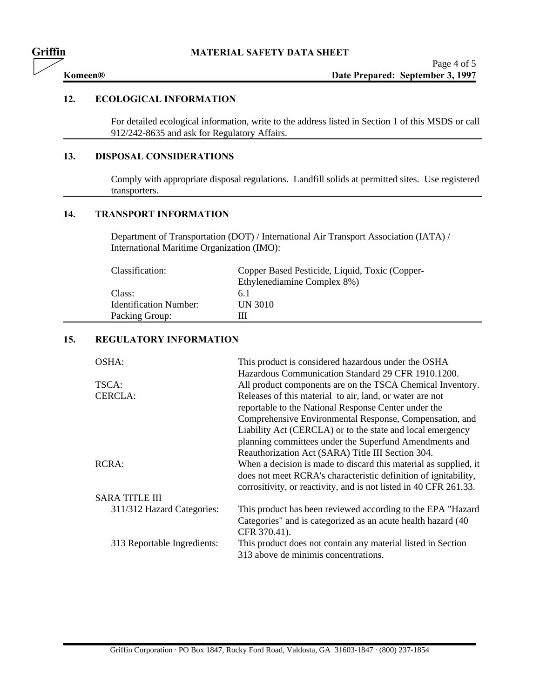# **12. ECOLOGICAL INFORMATION**

For detailed ecological information, write to the address listed in Section 1 of this MSDS or call 912/242-8635 and ask for Regulatory Affairs.

### **13. DISPOSAL CONSIDERATIONS**

Comply with appropriate disposal regulations. Landfill solids at permitted sites. Use registered transporters.

# **14. TRANSPORT INFORMATION**

Department of Transportation (DOT) / International Air Transport Association (IATA) / International Maritime Organization (IMO):

| Classification:               | Copper Based Pesticide, Liquid, Toxic (Copper- |
|-------------------------------|------------------------------------------------|
|                               | Ethylenediamine Complex 8%)                    |
| Class:                        | 6. I                                           |
| <b>Identification Number:</b> | <b>UN 3010</b>                                 |
| Packing Group:                |                                                |

## **15. REGULATORY INFORMATION**

| OSHA:                       | This product is considered hazardous under the OSHA               |
|-----------------------------|-------------------------------------------------------------------|
|                             | Hazardous Communication Standard 29 CFR 1910.1200.                |
| TSCA:                       | All product components are on the TSCA Chemical Inventory.        |
| CERCLA:                     | Releases of this material to air, land, or water are not          |
|                             | reportable to the National Response Center under the              |
|                             | Comprehensive Environmental Response, Compensation, and           |
|                             | Liability Act (CERCLA) or to the state and local emergency        |
|                             | planning committees under the Superfund Amendments and            |
|                             | Reauthorization Act (SARA) Title III Section 304.                 |
| RCRA:                       | When a decision is made to discard this material as supplied, it  |
|                             | does not meet RCRA's characteristic definition of ignitability,   |
|                             | corrositivity, or reactivity, and is not listed in 40 CFR 261.33. |
| <b>SARA TITLE III</b>       |                                                                   |
| 311/312 Hazard Categories:  | This product has been reviewed according to the EPA "Hazard"      |
|                             | Categories" and is categorized as an acute health hazard (40      |
|                             | CFR 370.41).                                                      |
| 313 Reportable Ingredients: | This product does not contain any material listed in Section      |
|                             | 313 above de minimis concentrations.                              |